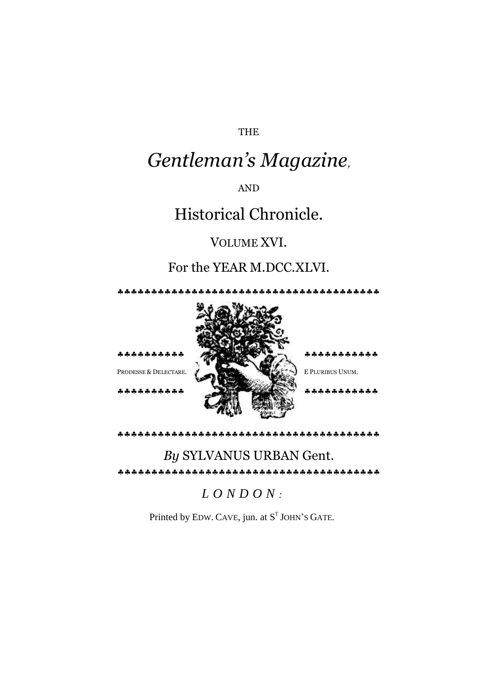#### THE

# *Gentleman's Magazine,*

AND

## Historical Chronicle.

#### VOLUME XVI.

### For the YEAR M.DCC.XLVI.



## *By* SYLVANUS URBAN Gent.

### *L O N D O N :*

Printed by EDW. CAVE, jun. at  $S<sup>T</sup>$  JOHN's GATE.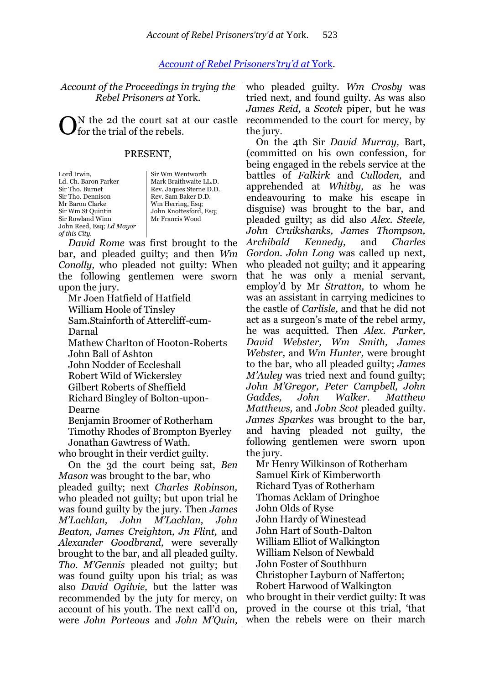#### *[Account of Rebel Prisoners](http://books.google.com/books?id=Z3FIAAAAYAAJ&lpg=PA523&ots=CwcuZZrOBE&dq=%22George%20Hamilton%22%20York%20Castle%201746&pg=PA523#v=onepage&q&f=false)'try'd at* York.

| Account of the Proceedings in trying the<br>Rebel Prisoners at York.                                                                                                                                                                                                                                                                                                                         | who pleaded guilty. Wm Crosby was<br>tried next, and found guilty. As was also<br>James Reid, a Scotch piper, but he was                                                                                                                                                                  |
|----------------------------------------------------------------------------------------------------------------------------------------------------------------------------------------------------------------------------------------------------------------------------------------------------------------------------------------------------------------------------------------------|-------------------------------------------------------------------------------------------------------------------------------------------------------------------------------------------------------------------------------------------------------------------------------------------|
| N the 2d the court sat at our castle<br>for the trial of the rebels.                                                                                                                                                                                                                                                                                                                         | recommended to the court for mercy, by<br>the jury.                                                                                                                                                                                                                                       |
| PRESENT,                                                                                                                                                                                                                                                                                                                                                                                     | On the 4th Sir David Murray, Bart,<br>(committed on his own confession, for<br>being engaged in the rebels service at the                                                                                                                                                                 |
| Lord Irwin,<br>Sir Wm Wentworth<br>Ld. Ch. Baron Parker<br>Mark Braithwaite LL.D.<br>Sir Tho. Burnet<br>Rev. Jaques Sterne D.D.<br>Sir Tho. Dennison<br>Rev. Sam Baker D.D.<br>Mr Baron Clarke<br>Wm Herring, Esq;<br>Sir Wm St Quintin<br>John Knottesford, Esq;<br>Mr Francis Wood<br>Sir Rowland Winn<br>John Reed, Esq; Ld Mayor<br>of this City.<br>David Rome was first brought to the | battles of Falkirk and Culloden, and<br>apprehended at <i>Whitby</i> , as he was<br>endeavouring to make his escape in<br>disguise) was brought to the bar, and<br>pleaded guilty; as did also Alex. Steele,<br>John Cruikshanks, James Thompson,<br>and<br>Archibald Kennedy,<br>Charles |
| bar, and pleaded guilty; and then Wm<br>Conolly, who pleaded not guilty: When                                                                                                                                                                                                                                                                                                                | Gordon. John Long was called up next,<br>who pleaded not guilty; and it appearing                                                                                                                                                                                                         |
| the following gentlemen were sworn                                                                                                                                                                                                                                                                                                                                                           | that he was only a menial servant,                                                                                                                                                                                                                                                        |
| upon the jury.                                                                                                                                                                                                                                                                                                                                                                               | employ'd by Mr Stratton, to whom he                                                                                                                                                                                                                                                       |
| Mr Joen Hatfield of Hatfield                                                                                                                                                                                                                                                                                                                                                                 | was an assistant in carrying medicines to                                                                                                                                                                                                                                                 |
| William Hoole of Tinsley                                                                                                                                                                                                                                                                                                                                                                     | the castle of <i>Carlisle</i> , and that he did not                                                                                                                                                                                                                                       |
| Sam.Stainforth of Attercliff-cum-                                                                                                                                                                                                                                                                                                                                                            | act as a surgeon's mate of the rebel army,                                                                                                                                                                                                                                                |
| Darnal                                                                                                                                                                                                                                                                                                                                                                                       | he was acquitted. Then Alex. Parker,                                                                                                                                                                                                                                                      |
| Mathew Charlton of Hooton-Roberts                                                                                                                                                                                                                                                                                                                                                            | David Webster, Wm Smith, James                                                                                                                                                                                                                                                            |
| John Ball of Ashton                                                                                                                                                                                                                                                                                                                                                                          | Webster, and Wm Hunter, were brought                                                                                                                                                                                                                                                      |
| John Nodder of Eccleshall                                                                                                                                                                                                                                                                                                                                                                    | to the bar, who all pleaded guilty; <i>James</i><br>M'Auley was tried next and found guilty;                                                                                                                                                                                              |
| <b>Robert Wild of Wickersley</b><br>Gilbert Roberts of Sheffield                                                                                                                                                                                                                                                                                                                             | John M'Gregor, Peter Campbell, John                                                                                                                                                                                                                                                       |
| Richard Bingley of Bolton-upon-                                                                                                                                                                                                                                                                                                                                                              | John<br>Walker.<br>Gaddes,<br>Matthew                                                                                                                                                                                                                                                     |
| Dearne                                                                                                                                                                                                                                                                                                                                                                                       | <i>Matthews, and Jobn Scot pleaded guilty.</i>                                                                                                                                                                                                                                            |
| Benjamin Broomer of Rotherham                                                                                                                                                                                                                                                                                                                                                                | <i>James Sparkes</i> was brought to the bar,                                                                                                                                                                                                                                              |
| Timothy Rhodes of Brompton Byerley                                                                                                                                                                                                                                                                                                                                                           | and having pleaded not guilty, the                                                                                                                                                                                                                                                        |
| Jonathan Gawtress of Wath.                                                                                                                                                                                                                                                                                                                                                                   | following gentlemen were sworn upon                                                                                                                                                                                                                                                       |
| who brought in their verdict guilty.                                                                                                                                                                                                                                                                                                                                                         | the jury.                                                                                                                                                                                                                                                                                 |
| On the 3d the court being sat, Ben                                                                                                                                                                                                                                                                                                                                                           | Mr Henry Wilkinson of Rotherham                                                                                                                                                                                                                                                           |
| <i>Mason</i> was brought to the bar, who                                                                                                                                                                                                                                                                                                                                                     | Samuel Kirk of Kimberworth                                                                                                                                                                                                                                                                |
| pleaded guilty; next <i>Charles Robinson</i> ,                                                                                                                                                                                                                                                                                                                                               | <b>Richard Tyas of Rotherham</b>                                                                                                                                                                                                                                                          |
| who pleaded not guilty; but upon trial he                                                                                                                                                                                                                                                                                                                                                    | Thomas Acklam of Dringhoe                                                                                                                                                                                                                                                                 |
| was found guilty by the jury. Then James                                                                                                                                                                                                                                                                                                                                                     | John Olds of Ryse                                                                                                                                                                                                                                                                         |
| M'Lachlan,<br>John<br>M'Lachlan,<br>John                                                                                                                                                                                                                                                                                                                                                     | John Hardy of Winestead                                                                                                                                                                                                                                                                   |
| Beaton, James Creighton, Jn Flint, and                                                                                                                                                                                                                                                                                                                                                       | John Hart of South-Dalton                                                                                                                                                                                                                                                                 |
| Alexander Goodbrand, were severally                                                                                                                                                                                                                                                                                                                                                          | William Elliot of Walkington                                                                                                                                                                                                                                                              |
| brought to the bar, and all pleaded guilty.                                                                                                                                                                                                                                                                                                                                                  | William Nelson of Newbald<br>John Foster of Southburn                                                                                                                                                                                                                                     |
| Tho. M'Gennis pleaded not guilty; but<br>was found guilty upon his trial; as was                                                                                                                                                                                                                                                                                                             | Christopher Layburn of Nafferton;                                                                                                                                                                                                                                                         |
| also <i>David Ogilvie</i> , but the latter was                                                                                                                                                                                                                                                                                                                                               | Robert Harwood of Walkington                                                                                                                                                                                                                                                              |
| recommended by the juty for mercy, on                                                                                                                                                                                                                                                                                                                                                        | who brought in their verdict guilty: It was                                                                                                                                                                                                                                               |
| account of his youth. The next call'd on,                                                                                                                                                                                                                                                                                                                                                    | proved in the course ot this trial, 'that                                                                                                                                                                                                                                                 |
| were John Porteous and John M'Quin,                                                                                                                                                                                                                                                                                                                                                          | when the rebels were on their march                                                                                                                                                                                                                                                       |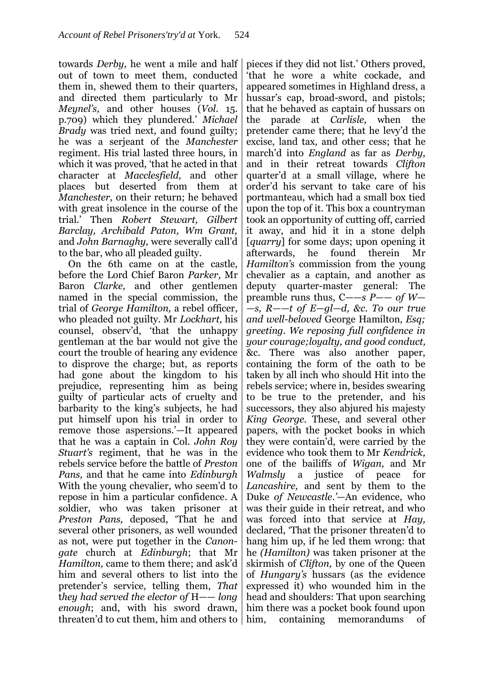towards *Derby,* he went a mile and half out of town to meet them, conducted them in, shewed them to their quarters, and directed them particularly to Mr *Meynel's,* and other houses (*Vol*. 15. p.709) which they plundered." *Michael Brady* was tried next, and found guilty; he was a serjeant of the *Manchester*  regiment. His trial lasted three hours, in which it was proved, 'that he acted in that character at *Macclesfield,* and other places but deserted from them at *Manchester,* on their return; he behaved with great insolence in the course of the trial." Then *Robert Stewart, Gilbert Barclay, Archibald Paton, Wm Grant,*  and *John Barnaghy,* were severally call"d to the bar, who all pleaded guilty.

On the 6th came on at the castle, before the Lord Chief Baron *Parker,* Mr Baron *Clarke,* and other gentlemen named in the special commission, the trial of *George Hamilton,* a rebel officer, who pleaded not guilty. Mr *Lockhart,* his counsel, observ'd, 'that the unhappy gentleman at the bar would not give the court the trouble of hearing any evidence to disprove the charge; but, as reports had gone about the kingdom to his prejudice, representing him as being guilty of particular acts of cruelty and barbarity to the king"s subjects, he had put himself upon his trial in order to remove those aspersions.'—It appeared that he was a captain in Col. *John Roy Stuart's* regiment, that he was in the rebels service before the battle of *Preston Pans,* and that he came into *Edinburgh*  With the young chevalier, who seem'd to repose in him a particular confidence. A soldier, who was taken prisoner at *Preston Pans,* deposed, "That he and several other prisoners, as well wounded as not, were put together in the *Canongate* church at *Edinburgh*; that Mr *Hamilton, came to them there; and ask'd* him and several others to list into the pretender"s service, telling them, *That* t*hey had served the elector* o*f* H—— *long enough*; and, with his sword drawn, threaten"d to cut them, him and others to him, containing memorandums of

pieces if they did not list." Others proved, "that he wore a white cockade, and appeared sometimes in Highland dress, a hussar's cap, broad-sword, and pistols; that he behaved as captain of hussars on the parade at *Carlisle,* when the pretender came there; that he levy"d the excise, land tax, and other cess; that he march"d into *England* as far as *Derby,*  and in their retreat towards *Clifton*  quarter"d at a small village, where he order"d his servant to take care of his portmanteau, which had a small box tied upon the top of it. This box a countryman took an opportunity of cutting off, carried it away, and hid it in a stone delph [*quarry*] for some days; upon opening it afterwards, he found therein Mr *Hamilton'*s commission from the young chevalier as a captain, and another as deputy quarter-master general: The preamble runs thus, C——*s P—— of W— —s, R——t of E—gl—d, &c. To our true and well-beloved* George Hamilton, *Esq; greeting. We reposing full confidence in your courage;loyalty, and good conduct,*  &c. There was also another paper, containing the form of the oath to be taken by all inch who should Hit into the rebels service; where in, besides swearing to be true to the pretender, and his successors, they also abjured his majesty *King George.* These, and several other papers, with the pocket books in which they were contain"d, were carried by the evidence who took them to Mr *Kendrick,*  one of the bailiffs of *Wigan,* and Mr *Walmsly* a justice of peace for *Lancashire,* and sent by them to the Duke *of Newcastle.'*—An evidence, who was their guide in their retreat, and who was forced into that service at *Hay,*  declared, "That the prisoner threaten"d to hang him up, if he led them wrong: that he *(Hamilton)* was taken prisoner at the skirmish of *Clifton,* by one of the Queen of *Hungary's* hussars (as the evidence expressed it) who wounded him in the head and shoulders: That upon searching him there was a pocket book found upon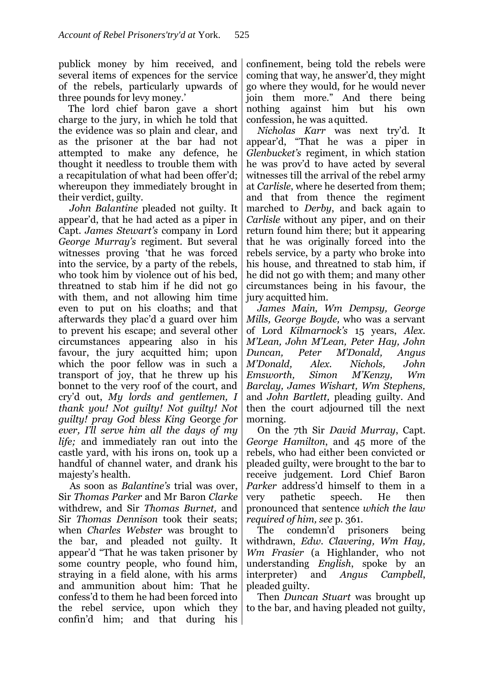publick money by him received, and several items of expences for the service of the rebels, particularly upwards of three pounds for levy money.'

The lord chief baron gave a short charge to the jury, in which he told that the evidence was so plain and clear, and as the prisoner at the bar had not attempted to make any defence, he thought it needless to trouble them with a recapitulation of what had been offer'd; whereupon they immediately brought in their verdict, guilty.

*John Balantine* pleaded not guilty. It appear"d, that he had acted as a piper in Capt. *James Stewart's* company in Lord *George Murray's* regiment. But several witnesses proving "that he was forced into the service, by a party of the rebels, who took him by violence out of his bed, threatned to stab him if he did not go with them, and not allowing him time even to put on his cloaths; and that afterwards they plac"d a guard over him to prevent his escape; and several other circumstances appearing also in his favour, the jury acquitted him; upon which the poor fellow was in such a transport of joy, that he threw up his bonnet to the very roof of the court, and cry"d out, *My lords and gentlemen, I thank you! Not guilty! Not guilty! Not guilty! pray God bless King* George *for ever, I'll serve him all the days of my life;* and immediately ran out into the castle yard, with his irons on, took up a handful of channel water, and drank his majesty's health.

As soon as *Balantine's* trial was over, Sir *Thomas Parker* and Mr Baron *Clarke* withdrew, and Sir *Thomas Burnet,* and Sir *Thomas Dennison* took their seats; when *Charles Webster* was brought to the bar, and pleaded not guilty. It appear"d "That he was taken prisoner by some country people, who found him, straying in a field alone, with his arms and ammunition about him: That he confess"d to them he had been forced into the rebel service, upon which they confin"d him; and that during his

confinement, being told the rebels were coming that way, he answer"d, they might go where they would, for he would never join them more." And there being nothing against him but his own confession, he was aquitted.

*Nicholas Karr* was next try"d. It appear"d, "That he was a piper in *Glenbucket's* regiment, in which station he was prov"d to have acted by several witnesses till the arrival of the rebel army at *Carlisle*, where he deserted from them; and that from thence the regiment marched to *Derby*, and back again to *Carlisle* without any piper, and on their return found him there; but it appearing that he was originally forced into the rebels service, by a party who broke into his house, and threatned to stab him, if he did not go with them; and many other circumstances being in his favour, the jury acquitted him.

*James Main, Wm Dempsy, George Mills, George Boyde,* who was a servant of Lord *Kilmarnock's* 15 years, *Alex. M'Lean, John M'Lean, Peter Hay, John Duncan, Peter M'Donald, Angus M'Donald, Alex. Nichols, John Emsworth, Simon M'Kenzy, Wm Barclay, James Wishart, Wm Stephens,*  and *John Bartlett,* pleading guilty. And then the court adjourned till the next morning.

On the 7th Sir *David Murray*, Capt. *George Hamilton*, and 45 more of the rebels, who had either been convicted or pleaded guilty, were brought to the bar to receive judgement. Lord Chief Baron *Parker* address'd himself to them in a very pathetic speech. He then pronounced that sentence *which the law required of him, see* p. 361.

The condemn"d prisoners being withdrawn, *Edw. Clavering, Wm Hay, Wm Frasier* (a Highlander, who not understanding *English*, spoke by an interpreter) and *Angus Campbell*, pleaded guilty.

Then *Duncan Stuart* was brought up to the bar, and having pleaded not guilty,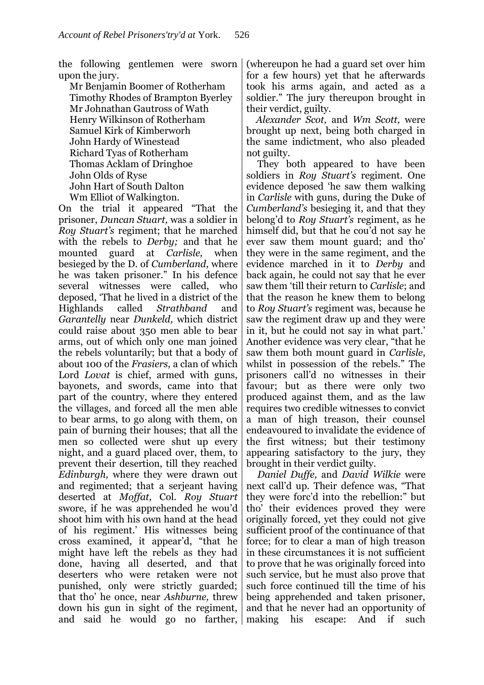the following gentlemen were sworn upon the jury.

Mr Benjamin Boomer of Rotherham Timothy Rhodes of Brampton Byerley Mr Johnathan Gautross of Wath Henry Wilkinson of Rotherham Samuel Kirk of Kimberworh John Hardy of Winestead Richard Tyas of Rotherham Thomas Acklam of Dringhoe John Olds of Ryse John Hart of South Dalton Wm Elliot of Walkington.

On the trial it appeared "That the prisoner, *Duncan Stuart,* was a soldier in *Roy Stuart's* regiment; that he marched with the rebels to *Derby;* and that he mounted guard at *Carlisle,* when besieged by the D. of *Cumberland,* where he was taken prisoner." In his defence several witnesses were called, who deposed, "That he lived in a district of the Highlands called *Strathband* and *Garantelly* near *Dunkeld,* which district could raise about 350 men able to bear arms, out of which only one man joined the rebels voluntarily; but that a body of about 100 of the *Frasiers,* a clan of which Lord *Lovat* is chief, armed with guns, bayonets, and swords, came into that part of the country, where they entered the villages, and forced all the men able to bear arms, to go along with them, on pain of burning their houses; that all the men so collected were shut up every night, and a guard placed over, them, to prevent their desertion, till they reached *Edinburgh,* where they were drawn out and regimented; that a serjeant having deserted at *Moffat,* Col. *Roy Stuart*  swore, if he was apprehended he wou"d shoot him with his own hand at the head of his regiment." His witnesses being cross examined, it appear"d, "that he might have left the rebels as they had done, having all deserted, and that deserters who were retaken were not punished, only were strictly guarded; that tho" he once, near *Ashburne,* threw down his gun in sight of the regiment, and said he would go no farther, making his escape: And if such

(whereupon he had a guard set over him for a few hours) yet that he afterwards took his arms again, and acted as a soldier." The jury thereupon brought in their verdict, guilty.

*Alexander Scot,* and *Wm Scott,* were brought up next, being both charged in the same indictment, who also pleaded not guilty.

They both appeared to have been soldiers in *Roy Stuart's* regiment. One evidence deposed "he saw them walking in *Carlisle* with guns, during the Duke of *Cumberland's* besieging it, and that they belong"d to *Roy Stuart's* regiment, as he himself did, but that he cou'd not say he ever saw them mount guard; and tho" they were in the same regiment, and the evidence marched in it to *Derby* and back again, he could not say that he ever saw them "till their return to *Carlisle*; and that the reason he knew them to belong to *Roy Stuart's* regiment was, because he saw the regiment draw up and they were in it, but he could not say in what part.' Another evidence was very clear, "that he saw them both mount guard in *Carlisle*, whilst in possession of the rebels." The prisoners call"d no witnesses in their favour; but as there were only two produced against them, and as the law requires two credible witnesses to convict a man of high treason, their counsel endeavoured to invalidate the evidence of the first witness; but their testimony appearing satisfactory to the jury, they brought in their verdict guilty.

*Daniel Duffe,* and *David Wilkie* were next call"d up. Their defence was, "That they were forc"d into the rebellion:" but tho" their evidences proved they were originally forced, yet they could not give sufficient proof of the continuance of that force; for to clear a man of high treason in these circumstances it is not sufficient to prove that he was originally forced into such service, but he must also prove that such force continued till the time of his being apprehended and taken prisoner, and that he never had an opportunity of